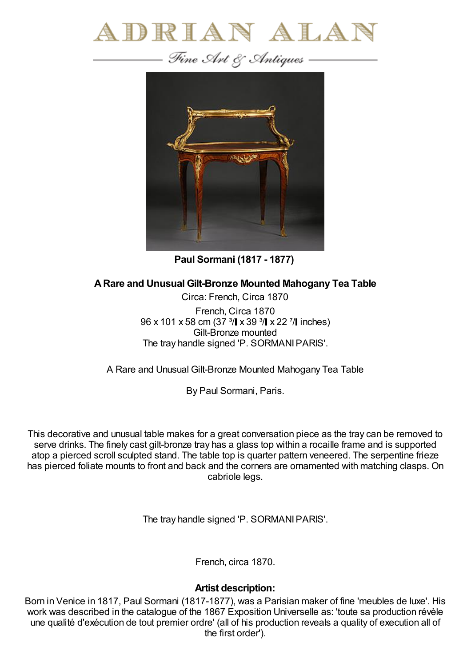



**Paul Sormani (1817 - 1877)**

**ARare and Unusual Gilt-Bronze Mounted Mahogany Tea Table**

Circa: French, Circa 1870 French, Circa 1870 96 x 101 x 58 cm (37 <sup>3</sup>/ x 39 <sup>3</sup>/ x 22 <sup>7</sup>/ linches) Gilt-Bronze mounted The tray handle signed 'P. SORMANIPARIS'.

A Rare and Unusual Gilt-Bronze Mounted Mahogany Tea Table

By Paul Sormani, Paris.

This decorative and unusual table makes for a great conversation piece as the tray can be removed to serve drinks. The finely cast gilt-bronze tray has a glass top within a rocaille frame and is supported atop a pierced scroll sculpted stand. The table top is quarter pattern veneered. The serpentine frieze has pierced foliate mounts to front and back and the corners are ornamented with matching clasps. On cabriole legs.

The tray handle signed 'P. SORMANIPARIS'.

French, circa 1870.

## **Artist description:**

Born in Venice in 1817, Paul Sormani (1817-1877), was a Parisian maker of fine 'meubles de luxe'. His work was described in the catalogue of the 1867 Exposition Universelle as: 'toute sa production révèle une qualité d'exécution de tout premier ordre' (all of his production reveals a quality of execution all of the first order').